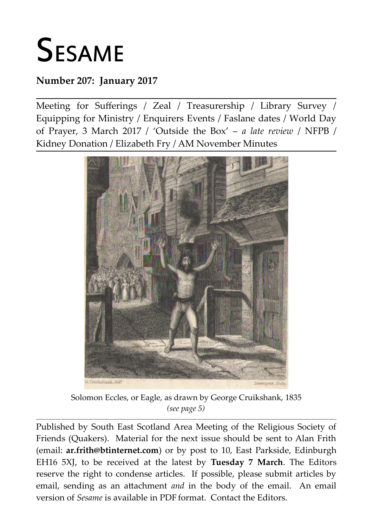# **SESAME**

### **Number 207: January 2017**

Meeting for Sufferings / Zeal / Treasurership / Library Survey / Equipping for Ministry / Enquirers Events / Faslane dates / World Day of Prayer, 3 March 2017 / 'Outside the Box' – *a late review* / NFPB / Kidney Donation / Elizabeth Fry / AM November Minutes



Solomon Eccles, or Eagle, as drawn by George Cruikshank, 1835 *(see page 5)*

**\_\_\_\_\_\_\_\_\_\_\_\_\_\_\_\_\_\_\_\_\_\_\_\_\_\_\_\_\_\_\_\_\_\_\_\_\_\_\_\_\_\_\_\_\_\_\_\_\_\_\_\_\_\_\_\_\_\_\_\_\_\_\_\_\_\_\_\_\_\_\_\_\_\_\_\_\_\_\_\_\_\_\_\_\_\_\_\_\_\_\_\_\_\_\_\_\_\_\_\_\_\_\_\_\_\_\_\_\_\_\_\_\_\_\_\_\_\_\_\_**

Published by South East Scotland Area Meeting of the Religious Society of Friends (Quakers). Material for the next issue should be sent to Alan Frith (email: **[ar.frith@btinternet.com](mailto:ar.frith@btinternet.com)**) or by post to 10, East Parkside, Edinburgh EH16 5XJ, to be received at the latest by **Tuesday 7 March**. The Editors reserve the right to condense articles. If possible, please submit articles by email, sending as an attachment *and* in the body of the email. An email version of *Sesame* is available in PDF format. Contact the Editors.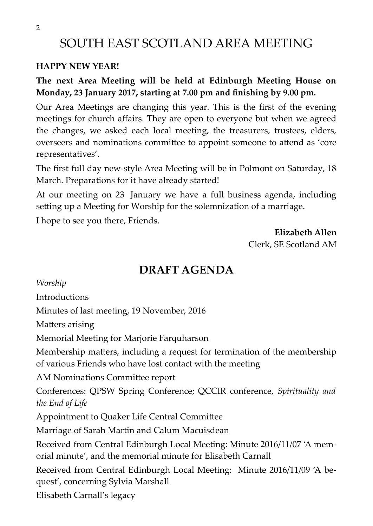#### 2

# SOUTH EAST SCOTLAND AREA MEETING

### **HAPPY NEW YEAR!**

### **The next Area Meeting will be held at Edinburgh Meeting House on Monday, 23 January 2017, starting at 7.00 pm and finishing by 9.00 pm.**

Our Area Meetings are changing this year. This is the first of the evening meetings for church affairs. They are open to everyone but when we agreed the changes, we asked each local meeting, the treasurers, trustees, elders, overseers and nominations committee to appoint someone to attend as 'core representatives'.

The first full day new-style Area Meeting will be in Polmont on Saturday, 18 March. Preparations for it have already started!

At our meeting on 23 January we have a full business agenda, including setting up a Meeting for Worship for the solemnization of a marriage.

I hope to see you there, Friends.

**Elizabeth Allen** Clerk, SE Scotland AM

### **DRAFT AGENDA**

*Worship*  Introductions

Minutes of last meeting, 19 November, 2016

Matters arising

Memorial Meeting for Marjorie Farquharson

Membership matters, including a request for termination of the membership of various Friends who have lost contact with the meeting

AM Nominations Committee report

Conferences: QPSW Spring Conference; QCCIR conference, *Spirituality and the End of Life*

Appointment to Quaker Life Central Committee

Marriage of Sarah Martin and Calum Macuisdean

Received from Central Edinburgh Local Meeting: Minute 2016/11/07 'A memorial minute', and the memorial minute for Elisabeth Carnall

Received from Central Edinburgh Local Meeting: Minute 2016/11/09 'A bequest', concerning Sylvia Marshall

Elisabeth Carnall's legacy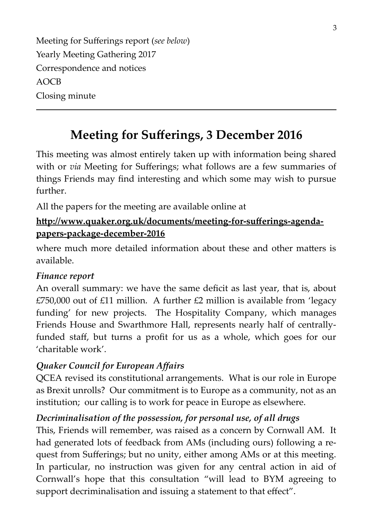Meeting for Sufferings report (*see below*) Yearly Meeting Gathering 2017 Correspondence and notices AOCB Closing minute

# **Meeting for Sufferings, 3 December 2016**

This meeting was almost entirely taken up with information being shared with or *via* Meeting for Sufferings; what follows are a few summaries of things Friends may find interesting and which some may wish to pursue further.

All the papers for the meeting are available online at

### **http://www.quaker.org.uk/documents/meeting-for-sufferings-agendapapers-package-december-2016**

where much more detailed information about these and other matters is available.

### *Finance report*

An overall summary: we have the same deficit as last year, that is, about £750,000 out of £11 million. A further  $£2$  million is available from 'legacy funding' for new projects. The Hospitality Company, which manages Friends House and Swarthmore Hall, represents nearly half of centrallyfunded staff, but turns a profit for us as a whole, which goes for our 'charitable work'.

### *Quaker Council for European Affairs*

QCEA revised its constitutional arrangements. What is our role in Europe as Brexit unrolls? Our commitment is to Europe as a community, not as an institution; our calling is to work for peace in Europe as elsewhere.

### *Decriminalisation of the possession, for personal use, of all drugs*

This, Friends will remember, was raised as a concern by Cornwall AM. It had generated lots of feedback from AMs (including ours) following a request from Sufferings; but no unity, either among AMs or at this meeting. In particular, no instruction was given for any central action in aid of Cornwall's hope that this consultation "will lead to BYM agreeing to support decriminalisation and issuing a statement to that effect".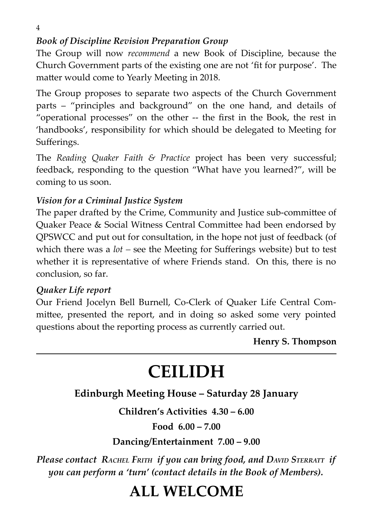4

### *Book of Discipline Revision Preparation Group*

The Group will now *recommend* a new Book of Discipline, because the Church Government parts of the existing one are not 'fit for purpose'. The matter would come to Yearly Meeting in 2018.

The Group proposes to separate two aspects of the Church Government parts – "principles and background" on the one hand, and details of "operational processes" on the other -- the first in the Book, the rest in 'handbooks', responsibility for which should be delegated to Meeting for Sufferings.

The *Reading Quaker Faith & Practice* project has been very successful; feedback, responding to the question "What have you learned?", will be coming to us soon.

### *Vision for a Criminal Justice System*

The paper drafted by the Crime, Community and Justice sub-committee of Quaker Peace & Social Witness Central Committee had been endorsed by QPSWCC and put out for consultation, in the hope not just of feedback (of which there was a *lot –* see the Meeting for Sufferings website) but to test whether it is representative of where Friends stand. On this, there is no conclusion, so far.

### *Quaker Life report*

Our Friend Jocelyn Bell Burnell, Co-Clerk of Quaker Life Central Committee, presented the report, and in doing so asked some very pointed questions about the reporting process as currently carried out.

**Henry S. Thompson**

# **CEILIDH**

### **Edinburgh Meeting House – Saturday 28 January**

**Children's Activities 4.30 – 6.00**

**Food 6.00 – 7.00**

**Dancing/Entertainment 7.00 – 9.00**

*Please contact RACHEL FRITH if you can bring food, and DAVID STERRATT if you can perform a 'turn' (contact details in the Book of Members).*

# **ALL WELCOME**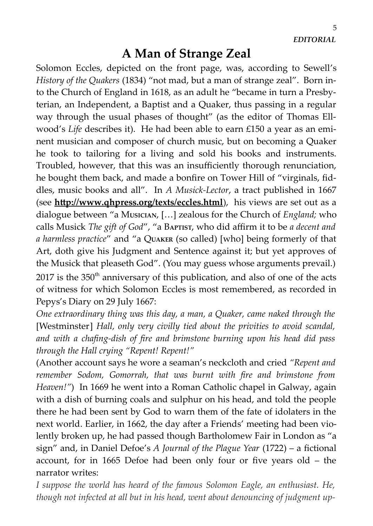# **A Man of Strange Zeal**

Solomon Eccles, depicted on the front page, was, according to Sewell's *History of the Quakers* (1834) "not mad, but a man of strange zeal". Born into the Church of England in 1618, as an adult he "became in turn a Presbyterian, an Independent, a Baptist and a Quaker, thus passing in a regular way through the usual phases of thought" (as the editor of Thomas Ellwood's *Life* describes it). He had been able to earn £150 a year as an eminent musician and composer of church music, but on becoming a Quaker he took to tailoring for a living and sold his books and instruments. Troubled, however, that this was an insufficiently thorough renunciation, he bought them back, and made a bonfire on Tower Hill of "virginals, fiddles, music books and all". In *A Musick-Lector*, a tract published in 1667 (see **<http://www.qhpress.org/texts/eccles.html>**), his views are set out as a dialogue between "a M**USICIAN**, […] zealous for the Church of *England;* who calls Musick *The gift of God*", "a B**APTIST**, who did affirm it to be *a decent and a harmless practice*" and "a Q**UAKER** (so called) [who] being formerly of that Art, doth give his Judgment and Sentence against it; but yet approves of the Musick that pleaseth God". (You may guess whose arguments prevail.)  $2017$  is the  $350<sup>th</sup>$  anniversary of this publication, and also of one of the acts of witness for which Solomon Eccles is most remembered, as recorded in Pepys's Diary on 29 July 1667:

*One extraordinary thing was this day, a man, a Quaker, came naked through the* [Westminster] *Hall, only very civilly tied about the privities to avoid scandal, and with a chafing-dish of fire and brimstone burning upon his head did pass through the Hall crying "Repent! Repent!"* 

(Another account says he wore a seaman's neckcloth and cried *"Repent and remember Sodom, Gomorrah, that was burnt with fire and brimstone from Heaven!"*) In 1669 he went into a Roman Catholic chapel in Galway, again with a dish of burning coals and sulphur on his head, and told the people there he had been sent by God to warn them of the fate of idolaters in the next world. Earlier, in 1662, the day after a Friends' meeting had been violently broken up, he had passed though Bartholomew Fair in London as "a sign" and, in Daniel Defoe's *A Journal of the Plague Year* (1722) – a fictional account, for in 1665 Defoe had been only four or five years old – the narrator writes:

*I suppose the world has heard of the famous Solomon Eagle, an enthusiast. He, though not infected at all but in his head, went about denouncing of judgment up-*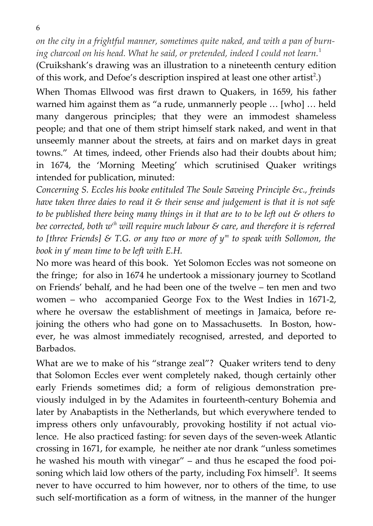*on the city in a frightful manner, sometimes quite naked, and with a pan of burning charcoal on his head. What he said, or pretended, indeed I could not learn.*<sup>1</sup>

(Cruikshank's drawing was an illustration to a nineteenth century edition of this work, and Defoe's description inspired at least one other artist<sup>2</sup>.)

When Thomas Ellwood was first drawn to Quakers, in 1659, his father warned him against them as "a rude, unmannerly people … [who] … held many dangerous principles; that they were an immodest shameless people; and that one of them stript himself stark naked, and went in that unseemly manner about the streets, at fairs and on market days in great towns." At times, indeed, other Friends also had their doubts about him; in 1674, the 'Morning Meeting' which scrutinised Quaker writings intended for publication, minuted:

*Concerning S. Eccles his booke entituled The Soule Saveing Principle &c., freinds have taken three daies to read it & their sense and judgement is that it is not safe to be published there being many things in it that are to to be left out & others to bee corrected, both wch will require much labour & care, and therefore it is referred to [three Friends] & T.G. or any two or more of y<sup>m</sup> to speak with Sollomon, the book in y<sup>e</sup> mean time to be left with E.H.* 

No more was heard of this book. Yet Solomon Eccles was not someone on the fringe; for also in 1674 he undertook a missionary journey to Scotland on Friends' behalf, and he had been one of the twelve – ten men and two women – who accompanied George Fox to the West Indies in 1671-2, where he oversaw the establishment of meetings in Jamaica, before rejoining the others who had gone on to Massachusetts. In Boston, however, he was almost immediately recognised, arrested, and deported to Barbados.

What are we to make of his "strange zeal"? Quaker writers tend to deny that Solomon Eccles ever went completely naked, though certainly other early Friends sometimes did; a form of religious demonstration previously indulged in by the Adamites in fourteenth-century Bohemia and later by Anabaptists in the Netherlands, but which everywhere tended to impress others only unfavourably, provoking hostility if not actual violence. He also practiced fasting: for seven days of the seven-week Atlantic crossing in 1671, for example, he neither ate nor drank "unless sometimes he washed his mouth with vinegar" – and thus he escaped the food poisoning which laid low others of the party, including Fox himself<sup>3</sup>. It seems never to have occurred to him however, nor to others of the time, to use such self-mortification as a form of witness, in the manner of the hunger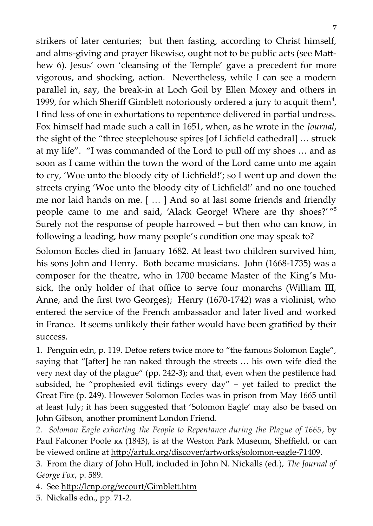strikers of later centuries; but then fasting, according to Christ himself, and alms-giving and prayer likewise, ought not to be public acts (see Matthew 6). Jesus' own 'cleansing of the Temple' gave a precedent for more vigorous, and shocking, action. Nevertheless, while I can see a modern parallel in, say, the break-in at Loch Goil by Ellen Moxey and others in 1999, for which Sheriff Gimblett notoriously ordered a jury to acquit them<sup>4</sup>, I find less of one in exhortations to repentence delivered in partial undress. Fox himself had made such a call in 1651, when, as he wrote in the *Journal*, the sight of the "three steeplehouse spires [of Lichfield cathedral] … struck at my life". "I was commanded of the Lord to pull off my shoes … and as soon as I came within the town the word of the Lord came unto me again to cry, 'Woe unto the bloody city of Lichfield!'; so I went up and down the streets crying 'Woe unto the bloody city of Lichfield!' and no one touched me nor laid hands on me. [ … ] And so at last some friends and friendly people came to me and said, 'Alack George! Where are thy shoes?' "<sup>5</sup> Surely not the response of people harrowed – but then who can know, in following a leading, how many people's condition one may speak to?

Solomon Eccles died in January 1682. At least two children survived him, his sons John and Henry. Both became musicians. John (1668-1735) was a composer for the theatre, who in 1700 became Master of the King's Musick, the only holder of that office to serve four monarchs (William III, Anne, and the first two Georges); Henry (1670-1742) was a violinist, who entered the service of the French ambassador and later lived and worked in France. It seems unlikely their father would have been gratified by their success.

1. Penguin edn, p. 119. Defoe refers twice more to "the famous Solomon Eagle", saying that "[after] he ran naked through the streets … his own wife died the very next day of the plague" (pp. 242-3); and that, even when the pestilence had subsided, he "prophesied evil tidings every day" – yet failed to predict the Great Fire (p. 249). However Solomon Eccles was in prison from May 1665 until at least July; it has been suggested that 'Solomon Eagle' may also be based on John Gibson, another prominent London Friend.

2. *Solomon Eagle exhorting the People to Repentance during the Plague of 1665*, by Paul Falconer Poole **RA** (1843), is at the Weston Park Museum, Sheffield, or can be viewed online at [http://artuk.org/discover/artworks/solomon-eagle-71409.](http://artuk.org/discover/artworks/solomon-eagle-71409)

3. From the diary of John Hull, included in John N. Nickalls (ed.), *The Journal of George Fox*, p. 589.

4. See<http://lcnp.org/wcourt/Gimblett.htm>

5. Nickalls edn., pp. 71-2.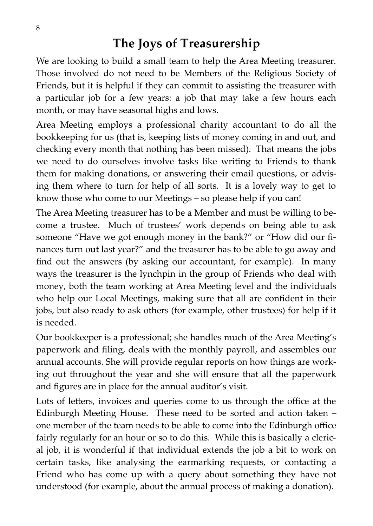# **The Joys of Treasurership**

We are looking to build a small team to help the Area Meeting treasurer. Those involved do not need to be Members of the Religious Society of Friends, but it is helpful if they can commit to assisting the treasurer with a particular job for a few years: a job that may take a few hours each month, or may have seasonal highs and lows.

Area Meeting employs a professional charity accountant to do all the bookkeeping for us (that is, keeping lists of money coming in and out, and checking every month that nothing has been missed). That means the jobs we need to do ourselves involve tasks like writing to Friends to thank them for making donations, or answering their email questions, or advising them where to turn for help of all sorts. It is a lovely way to get to know those who come to our Meetings – so please help if you can!

The Area Meeting treasurer has to be a Member and must be willing to become a trustee. Much of trustees' work depends on being able to ask someone "Have we got enough money in the bank?" or "How did our finances turn out last year?" and the treasurer has to be able to go away and find out the answers (by asking our accountant, for example). In many ways the treasurer is the lynchpin in the group of Friends who deal with money, both the team working at Area Meeting level and the individuals who help our Local Meetings, making sure that all are confident in their jobs, but also ready to ask others (for example, other trustees) for help if it is needed.

Our bookkeeper is a professional; she handles much of the Area Meeting's paperwork and filing, deals with the monthly payroll, and assembles our annual accounts. She will provide regular reports on how things are working out throughout the year and she will ensure that all the paperwork and figures are in place for the annual auditor's visit.

Lots of letters, invoices and queries come to us through the office at the Edinburgh Meeting House. These need to be sorted and action taken – one member of the team needs to be able to come into the Edinburgh office fairly regularly for an hour or so to do this. While this is basically a clerical job, it is wonderful if that individual extends the job a bit to work on certain tasks, like analysing the earmarking requests, or contacting a Friend who has come up with a query about something they have not understood (for example, about the annual process of making a donation).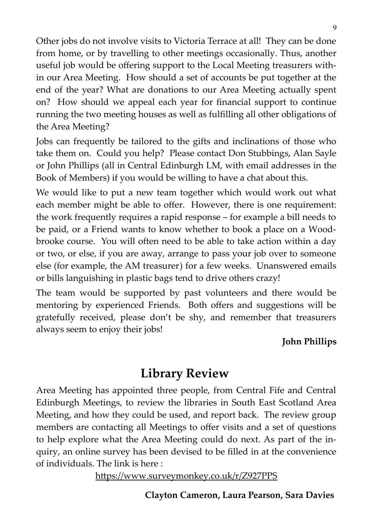Other jobs do not involve visits to Victoria Terrace at all! They can be done from home, or by travelling to other meetings occasionally. Thus, another useful job would be offering support to the Local Meeting treasurers within our Area Meeting. How should a set of accounts be put together at the end of the year? What are donations to our Area Meeting actually spent on? How should we appeal each year for financial support to continue running the two meeting houses as well as fulfilling all other obligations of the Area Meeting?

Jobs can frequently be tailored to the gifts and inclinations of those who take them on. Could you help? Please contact Don Stubbings, Alan Sayle or John Phillips (all in Central Edinburgh LM, with email addresses in the Book of Members) if you would be willing to have a chat about this.

We would like to put a new team together which would work out what each member might be able to offer. However, there is one requirement: the work frequently requires a rapid response – for example a bill needs to be paid, or a Friend wants to know whether to book a place on a Woodbrooke course. You will often need to be able to take action within a day or two, or else, if you are away, arrange to pass your job over to someone else (for example, the AM treasurer) for a few weeks. Unanswered emails or bills languishing in plastic bags tend to drive others crazy!

The team would be supported by past volunteers and there would be mentoring by experienced Friends. Both offers and suggestions will be gratefully received, please don't be shy, and remember that treasurers always seem to enjoy their jobs!

### **John Phillips**

# **Library Review**

Area Meeting has appointed three people, from Central Fife and Central Edinburgh Meetings, to review the libraries in South East Scotland Area Meeting, and how they could be used, and report back. The review group members are contacting all Meetings to offer visits and a set of questions to help explore what the Area Meeting could do next. As part of the inquiry, an online survey has been devised to be filled in at the convenience of individuals. The link is here :

<https://www.surveymonkey.co.uk/r/Z927PPS>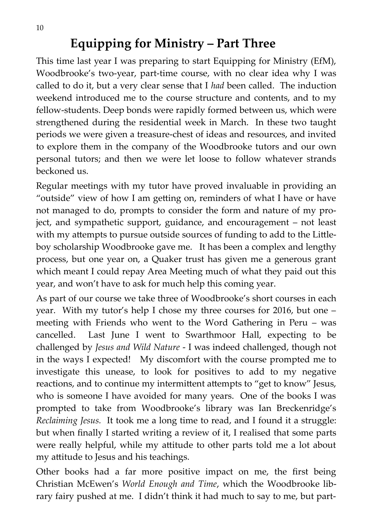# **Equipping for Ministry – Part Three**

This time last year I was preparing to start Equipping for Ministry (EfM), Woodbrooke's two-year, part-time course, with no clear idea why I was called to do it, but a very clear sense that I *had* been called. The induction weekend introduced me to the course structure and contents, and to my fellow-students. Deep bonds were rapidly formed between us, which were strengthened during the residential week in March. In these two taught periods we were given a treasure-chest of ideas and resources, and invited to explore them in the company of the Woodbrooke tutors and our own personal tutors; and then we were let loose to follow whatever strands beckoned us.

Regular meetings with my tutor have proved invaluable in providing an "outside" view of how I am getting on, reminders of what I have or have not managed to do, prompts to consider the form and nature of my project, and sympathetic support, guidance, and encouragement – not least with my attempts to pursue outside sources of funding to add to the Littleboy scholarship Woodbrooke gave me. It has been a complex and lengthy process, but one year on, a Quaker trust has given me a generous grant which meant I could repay Area Meeting much of what they paid out this year, and won't have to ask for much help this coming year.

As part of our course we take three of Woodbrooke's short courses in each year. With my tutor's help I chose my three courses for 2016, but one – meeting with Friends who went to the Word Gathering in Peru – was cancelled. Last June I went to Swarthmoor Hall, expecting to be challenged by *Jesus and Wild Nature* - I was indeed challenged, though not in the ways I expected! My discomfort with the course prompted me to investigate this unease, to look for positives to add to my negative reactions, and to continue my intermittent attempts to "get to know" Jesus, who is someone I have avoided for many years. One of the books I was prompted to take from Woodbrooke's library was Ian Breckenridge's *Reclaiming Jesus.* It took me a long time to read, and I found it a struggle: but when finally I started writing a review of it, I realised that some parts were really helpful, while my attitude to other parts told me a lot about my attitude to Jesus and his teachings.

Other books had a far more positive impact on me, the first being Christian McEwen's *World Enough and Time*, which the Woodbrooke library fairy pushed at me. I didn't think it had much to say to me, but part-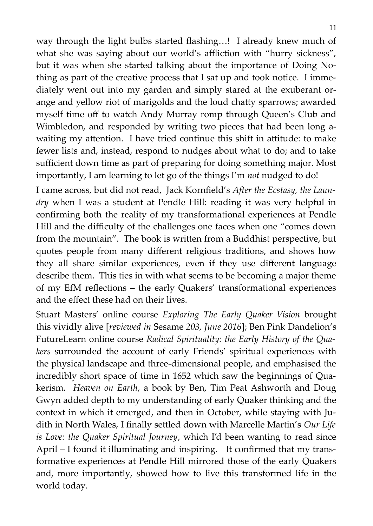way through the light bulbs started flashing…! I already knew much of what she was saying about our world's affliction with "hurry sickness", but it was when she started talking about the importance of Doing Nothing as part of the creative process that I sat up and took notice. I immediately went out into my garden and simply stared at the exuberant orange and yellow riot of marigolds and the loud chatty sparrows; awarded myself time off to watch Andy Murray romp through Queen's Club and Wimbledon, and responded by writing two pieces that had been long awaiting my attention. I have tried continue this shift in attitude: to make fewer lists and, instead, respond to nudges about what to do; and to take sufficient down time as part of preparing for doing something major. Most importantly, I am learning to let go of the things I'm *not* nudged to do!

I came across, but did not read, Jack Kornfield's *After the Ecstasy, the Laundry* when I was a student at Pendle Hill: reading it was very helpful in confirming both the reality of my transformational experiences at Pendle Hill and the difficulty of the challenges one faces when one "comes down from the mountain". The book is written from a Buddhist perspective, but quotes people from many different religious traditions, and shows how they all share similar experiences, even if they use different language describe them. This ties in with what seems to be becoming a major theme of my EfM reflections – the early Quakers' transformational experiences and the effect these had on their lives.

Stuart Masters' online course *Exploring The Early Quaker Vision* brought this vividly alive [*reviewed in* Sesame *203, June 2016*]; Ben Pink Dandelion's FutureLearn online course *Radical Spirituality: the Early History of the Quakers* surrounded the account of early Friends' spiritual experiences with the physical landscape and three-dimensional people, and emphasised the incredibly short space of time in 1652 which saw the beginnings of Quakerism. *Heaven on Earth*, a book by Ben, Tim Peat Ashworth and Doug Gwyn added depth to my understanding of early Quaker thinking and the context in which it emerged, and then in October, while staying with Judith in North Wales, I finally settled down with Marcelle Martin's *Our Life is Love: the Quaker Spiritual Journey*, which I'd been wanting to read since April – I found it illuminating and inspiring. It confirmed that my transformative experiences at Pendle Hill mirrored those of the early Quakers and, more importantly, showed how to live this transformed life in the world today.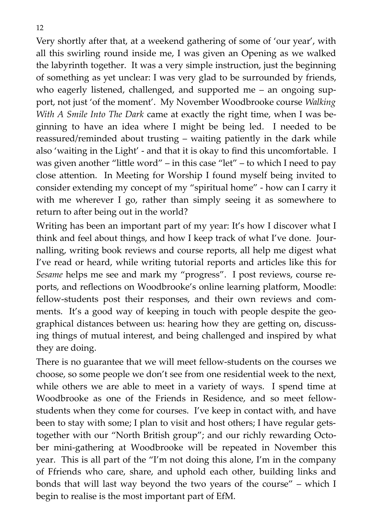Very shortly after that, at a weekend gathering of some of 'our year', with all this swirling round inside me, I was given an Opening as we walked the labyrinth together. It was a very simple instruction, just the beginning of something as yet unclear: I was very glad to be surrounded by friends, who eagerly listened, challenged, and supported me – an ongoing support, not just 'of the moment'. My November Woodbrooke course *Walking With A Smile Into The Dark* came at exactly the right time, when I was beginning to have an idea where I might be being led. I needed to be reassured/reminded about trusting – waiting patiently in the dark while also 'waiting in the Light' - and that it is okay to find this uncomfortable. I was given another "little word" – in this case "let" – to which I need to pay close attention. In Meeting for Worship I found myself being invited to consider extending my concept of my "spiritual home" - how can I carry it with me wherever I go, rather than simply seeing it as somewhere to return to after being out in the world?

Writing has been an important part of my year: It's how I discover what I think and feel about things, and how I keep track of what I've done. Journalling, writing book reviews and course reports, all help me digest what I've read or heard, while writing tutorial reports and articles like this for *Sesame* helps me see and mark my "progress". I post reviews, course reports, and reflections on Woodbrooke's online learning platform, Moodle: fellow-students post their responses, and their own reviews and comments. It's a good way of keeping in touch with people despite the geographical distances between us: hearing how they are getting on, discussing things of mutual interest, and being challenged and inspired by what they are doing.

There is no guarantee that we will meet fellow-students on the courses we choose, so some people we don't see from one residential week to the next, while others we are able to meet in a variety of ways. I spend time at Woodbrooke as one of the Friends in Residence, and so meet fellowstudents when they come for courses. I've keep in contact with, and have been to stay with some; I plan to visit and host others; I have regular getstogether with our "North British group"; and our richly rewarding October mini-gathering at Woodbrooke will be repeated in November this year. This is all part of the "I'm not doing this alone, I'm in the company of Ffriends who care, share, and uphold each other, building links and bonds that will last way beyond the two years of the course" – which I begin to realise is the most important part of EfM.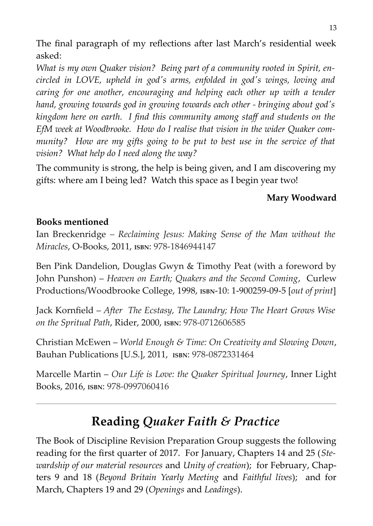The final paragraph of my reflections after last March's residential week asked:

*What is my own Quaker vision? Being part of a community rooted in Spirit, encircled in LOVE, upheld in god's arms, enfolded in god's wings, loving and caring for one another, encouraging and helping each other up with a tender hand, growing towards god in growing towards each other - bringing about god's kingdom here on earth. I find this community among staff and students on the EfM week at Woodbrooke. How do I realise that vision in the wider Quaker community? How are my gifts going to be put to best use in the service of that vision? What help do I need along the way?* 

The community is strong, the help is being given, and I am discovering my gifts: where am I being led? Watch this space as I begin year two!

### **Mary Woodward**

### **Books mentioned**

Ian Breckenridge *– Reclaiming Jesus: Making Sense of the Man without the Miracles*, O-Books, 2011, **ISBN**: 978-1846944147

Ben Pink Dandelion, Douglas Gwyn & Timothy Peat (with a foreword by John Punshon) – *Heaven on Earth; Quakers and the Second Coming*, Curlew Productions/Woodbrooke College, 1998, **ISBN**-10: 1-900259-09-5 [*out of print*]

Jack Kornfield – *After The Ecstasy, The Laundry; How The Heart Grows Wise on the Spritual Path*, Rider, 2000, **ISBN**: 978-0712606585

Christian McEwen – *World Enough & Time: On Creativity and Slowing Down*, Bauhan Publications [U.S.], 2011, **ISBN**: 978-0872331464

Marcelle Martin – *Our Life is Love: the Quaker Spiritual Journey*, Inner Light Books, 2016, **ISBN**: 978-0997060416

# **Reading** *Quaker Faith & Practice*

The Book of Discipline Revision Preparation Group suggests the following reading for the first quarter of 2017. For January, Chapters 14 and 25 (*Stewardship of our material resources* and *Unity of creation*); for February, Chapters 9 and 18 (*Beyond Britain Yearly Meeting* and *Faithful lives*); and for March, Chapters 19 and 29 (*Openings* and *Leadings*).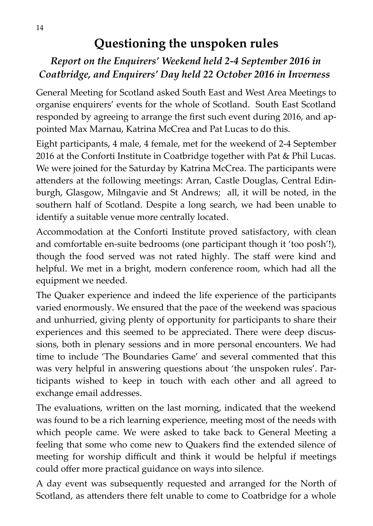# **Questioning the unspoken rules**

### *Report on the Enquirers' Weekend held 2-4 September 2016 in Coatbridge, and Enquirers' Day held 22 October 2016 in Inverness*

General Meeting for Scotland asked South East and West Area Meetings to organise enquirers' events for the whole of Scotland. South East Scotland responded by agreeing to arrange the first such event during 2016, and appointed Max Marnau, Katrina McCrea and Pat Lucas to do this.

Eight participants, 4 male, 4 female, met for the weekend of 2-4 September 2016 at the Conforti Institute in Coatbridge together with Pat & Phil Lucas. We were joined for the Saturday by Katrina McCrea. The participants were attenders at the following meetings: Arran, Castle Douglas, Central Edinburgh, Glasgow, Milngavie and St Andrews; all, it will be noted, in the southern half of Scotland. Despite a long search, we had been unable to identify a suitable venue more centrally located.

Accommodation at the Conforti Institute proved satisfactory, with clean and comfortable en-suite bedrooms (one participant though it 'too posh'!), though the food served was not rated highly. The staff were kind and helpful. We met in a bright, modern conference room, which had all the equipment we needed.

The Quaker experience and indeed the life experience of the participants varied enormously. We ensured that the pace of the weekend was spacious and unhurried, giving plenty of opportunity for participants to share their experiences and this seemed to be appreciated. There were deep discussions, both in plenary sessions and in more personal encounters. We had time to include 'The Boundaries Game' and several commented that this was very helpful in answering questions about 'the unspoken rules'. Participants wished to keep in touch with each other and all agreed to exchange email addresses.

The evaluations, written on the last morning, indicated that the weekend was found to be a rich learning experience, meeting most of the needs with which people came. We were asked to take back to General Meeting a feeling that some who come new to Quakers find the extended silence of meeting for worship difficult and think it would be helpful if meetings could offer more practical guidance on ways into silence.

A day event was subsequently requested and arranged for the North of Scotland, as attenders there felt unable to come to Coatbridge for a whole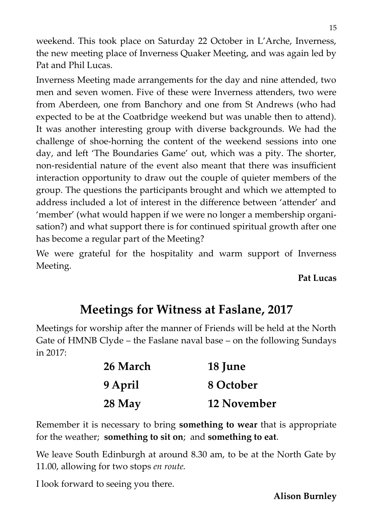weekend. This took place on Saturday 22 October in L'Arche, Inverness, the new meeting place of Inverness Quaker Meeting, and was again led by Pat and Phil Lucas.

Inverness Meeting made arrangements for the day and nine attended, two men and seven women. Five of these were Inverness attenders, two were from Aberdeen, one from Banchory and one from St Andrews (who had expected to be at the Coatbridge weekend but was unable then to attend). It was another interesting group with diverse backgrounds. We had the challenge of shoe-horning the content of the weekend sessions into one day, and left 'The Boundaries Game' out, which was a pity. The shorter, non-residential nature of the event also meant that there was insufficient interaction opportunity to draw out the couple of quieter members of the group. The questions the participants brought and which we attempted to address included a lot of interest in the difference between 'attender' and 'member' (what would happen if we were no longer a membership organisation?) and what support there is for continued spiritual growth after one has become a regular part of the Meeting?

We were grateful for the hospitality and warm support of Inverness Meeting.

**Pat Lucas**

# **Meetings for Witness at Faslane, 2017**

Meetings for worship after the manner of Friends will be held at the North Gate of HMNB Clyde – the Faslane naval base – on the following Sundays in 2017:

| 26 March | 18 June     |
|----------|-------------|
| 9 April  | 8 October   |
| $28$ May | 12 November |

Remember it is necessary to bring **something to wear** that is appropriate for the weather; **something to sit on**; and **something to eat**.

We leave South Edinburgh at around 8.30 am, to be at the North Gate by 11.00, allowing for two stops *en route.*

I look forward to seeing you there.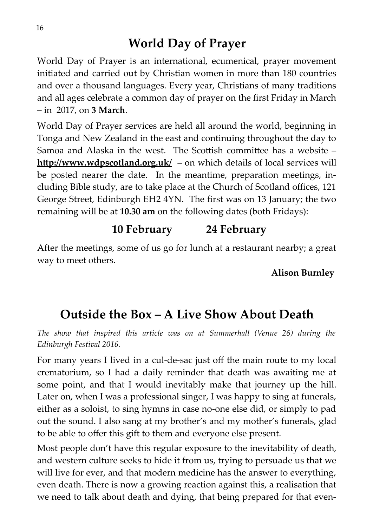# **World Day of Prayer**

World Day of Prayer is an international, ecumenical, prayer movement initiated and carried out by Christian women in more than 180 countries and over a thousand languages. Every year, Christians of many traditions and all ages celebrate a common day of prayer on the first Friday in March – in 2017, on **3 March**.

World Day of Prayer services are held all around the world, beginning in Tonga and New Zealand in the east and continuing throughout the day to Samoa and Alaska in the west. The Scottish committee has a website – **<http://www.wdpscotland.org.uk/>** – on which details of local services will be posted nearer the date. In the meantime, preparation meetings, including Bible study, are to take place at the Church of Scotland offices, 121 George Street, Edinburgh EH2 4YN. The first was on 13 January; the two remaining will be at **10.30 am** on the following dates (both Fridays):

### **10 February 24 February**

After the meetings, some of us go for lunch at a restaurant nearby; a great way to meet others.

**Alison Burnley**

# **Outside the Box – A Live Show About Death**

*The show that inspired this article was on at Summerhall (Venue 26) during the Edinburgh Festival 2016.* 

For many years I lived in a cul-de-sac just off the main route to my local crematorium, so I had a daily reminder that death was awaiting me at some point, and that I would inevitably make that journey up the hill. Later on, when I was a professional singer, I was happy to sing at funerals, either as a soloist, to sing hymns in case no-one else did, or simply to pad out the sound. I also sang at my brother's and my mother's funerals, glad to be able to offer this gift to them and everyone else present.

Most people don't have this regular exposure to the inevitability of death, and western culture seeks to hide it from us, trying to persuade us that we will live for ever, and that modern medicine has the answer to everything, even death. There is now a growing reaction against this, a realisation that we need to talk about death and dying, that being prepared for that even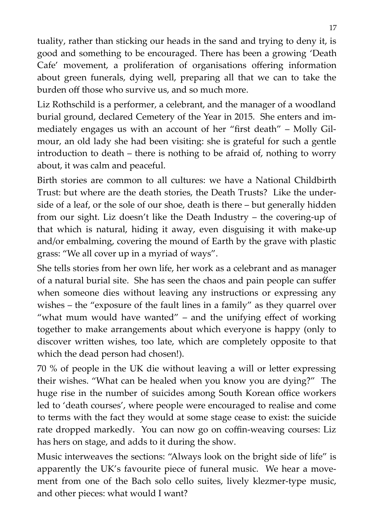tuality, rather than sticking our heads in the sand and trying to deny it, is good and something to be encouraged. There has been a growing 'Death Cafe' movement, a proliferation of organisations offering information about green funerals, dying well, preparing all that we can to take the burden off those who survive us, and so much more.

Liz Rothschild is a performer, a celebrant, and the manager of a woodland burial ground, declared Cemetery of the Year in 2015. She enters and immediately engages us with an account of her "first death" – Molly Gilmour, an old lady she had been visiting: she is grateful for such a gentle introduction to death – there is nothing to be afraid of, nothing to worry about, it was calm and peaceful.

Birth stories are common to all cultures: we have a National Childbirth Trust: but where are the death stories, the Death Trusts? Like the underside of a leaf, or the sole of our shoe, death is there – but generally hidden from our sight. Liz doesn't like the Death Industry – the covering-up of that which is natural, hiding it away, even disguising it with make-up and/or embalming, covering the mound of Earth by the grave with plastic grass: "We all cover up in a myriad of ways".

She tells stories from her own life, her work as a celebrant and as manager of a natural burial site. She has seen the chaos and pain people can suffer when someone dies without leaving any instructions or expressing any wishes – the "exposure of the fault lines in a family" as they quarrel over "what mum would have wanted" – and the unifying effect of working together to make arrangements about which everyone is happy (only to discover written wishes, too late, which are completely opposite to that which the dead person had chosen!).

70 % of people in the UK die without leaving a will or letter expressing their wishes. "What can be healed when you know you are dying?" The huge rise in the number of suicides among South Korean office workers led to 'death courses', where people were encouraged to realise and come to terms with the fact they would at some stage cease to exist: the suicide rate dropped markedly. You can now go on coffin-weaving courses: Liz has hers on stage, and adds to it during the show.

Music interweaves the sections: "Always look on the bright side of life" is apparently the UK's favourite piece of funeral music. We hear a movement from one of the Bach solo cello suites, lively klezmer-type music, and other pieces: what would I want?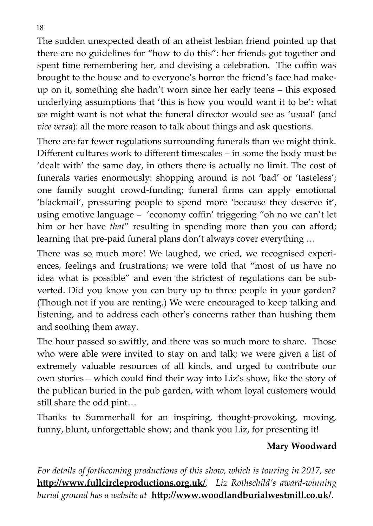The sudden unexpected death of an atheist lesbian friend pointed up that there are no guidelines for "how to do this": her friends got together and spent time remembering her, and devising a celebration. The coffin was brought to the house and to everyone's horror the friend's face had makeup on it, something she hadn't worn since her early teens – this exposed underlying assumptions that 'this is how you would want it to be': what *we* might want is not what the funeral director would see as 'usual' (and *vice versa*): all the more reason to talk about things and ask questions.

There are far fewer regulations surrounding funerals than we might think. Different cultures work to different timescales – in some the body must be 'dealt with' the same day, in others there is actually no limit. The cost of funerals varies enormously: shopping around is not 'bad' or 'tasteless'; one family sought crowd-funding; funeral firms can apply emotional 'blackmail', pressuring people to spend more 'because they deserve it', using emotive language – 'economy coffin' triggering "oh no we can't let him or her have *that*" resulting in spending more than you can afford; learning that pre-paid funeral plans don't always cover everything …

There was so much more! We laughed, we cried, we recognised experiences, feelings and frustrations; we were told that "most of us have no idea what is possible" and even the strictest of regulations can be subverted. Did you know you can bury up to three people in your garden? (Though not if you are renting.) We were encouraged to keep talking and listening, and to address each other's concerns rather than hushing them and soothing them away.

The hour passed so swiftly, and there was so much more to share. Those who were able were invited to stay on and talk; we were given a list of extremely valuable resources of all kinds, and urged to contribute our own stories – which could find their way into Liz's show, like the story of the publican buried in the pub garden, with whom loyal customers would still share the odd pint…

Thanks to Summerhall for an inspiring, thought-provoking, moving, funny, blunt, unforgettable show; and thank you Liz, for presenting it!

### **Mary Woodward**

*For details of forthcoming productions of this show, which is touring in 2017, see* **<http://www.fullcircleproductions.org.uk/>**. *Liz Rothschild's award-winning burial ground has a website at* **http://www.woodlandburialwestmill.co.uk/**.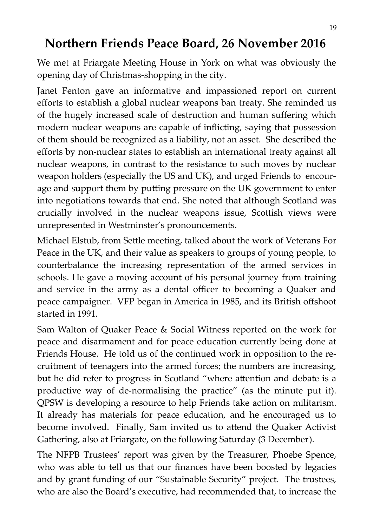# **Northern Friends Peace Board, 26 November 2016**

We met at Friargate Meeting House in York on what was obviously the opening day of Christmas-shopping in the city.

Janet Fenton gave an informative and impassioned report on current efforts to establish a global nuclear weapons ban treaty. She reminded us of the hugely increased scale of destruction and human suffering which modern nuclear weapons are capable of inflicting, saying that possession of them should be recognized as a liability, not an asset. She described the efforts by non-nuclear states to establish an international treaty against all nuclear weapons, in contrast to the resistance to such moves by nuclear weapon holders (especially the US and UK), and urged Friends to encourage and support them by putting pressure on the UK government to enter into negotiations towards that end. She noted that although Scotland was crucially involved in the nuclear weapons issue, Scottish views were unrepresented in Westminster's pronouncements.

Michael Elstub, from Settle meeting, talked about the work of Veterans For Peace in the UK, and their value as speakers to groups of young people, to counterbalance the increasing representation of the armed services in schools. He gave a moving account of his personal journey from training and service in the army as a dental officer to becoming a Quaker and peace campaigner. VFP began in America in 1985, and its British offshoot started in 1991.

Sam Walton of Quaker Peace & Social Witness reported on the work for peace and disarmament and for peace education currently being done at Friends House. He told us of the continued work in opposition to the recruitment of teenagers into the armed forces; the numbers are increasing, but he did refer to progress in Scotland "where attention and debate is a productive way of de-normalising the practice" (as the minute put it). QPSW is developing a resource to help Friends take action on militarism. It already has materials for peace education, and he encouraged us to become involved. Finally, Sam invited us to attend the Quaker Activist Gathering, also at Friargate, on the following Saturday (3 December).

The NFPB Trustees' report was given by the Treasurer, Phoebe Spence, who was able to tell us that our finances have been boosted by legacies and by grant funding of our "Sustainable Security" project. The trustees, who are also the Board's executive, had recommended that, to increase the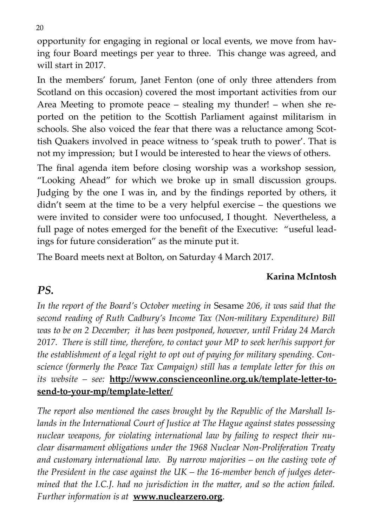opportunity for engaging in regional or local events, we move from having four Board meetings per year to three. This change was agreed, and will start in 2017.

In the members' forum, Janet Fenton (one of only three attenders from Scotland on this occasion) covered the most important activities from our Area Meeting to promote peace – stealing my thunder! – when she reported on the petition to the Scottish Parliament against militarism in schools. She also voiced the fear that there was a reluctance among Scottish Quakers involved in peace witness to 'speak truth to power'. That is not my impression; but I would be interested to hear the views of others.

The final agenda item before closing worship was a workshop session, "Looking Ahead" for which we broke up in small discussion groups. Judging by the one I was in, and by the findings reported by others, it didn't seem at the time to be a very helpful exercise – the questions we were invited to consider were too unfocused, I thought. Nevertheless, a full page of notes emerged for the benefit of the Executive: "useful leadings for future consideration" as the minute put it.

The Board meets next at Bolton, on Saturday 4 March 2017.

### **Karina McIntosh**

# *PS.*

*In the report of the Board's October meeting in* Sesame *206, it was said that the second reading of Ruth Cadbury's Income Tax (Non-military Expenditure) Bill was to be on 2 December; it has been postponed, however, until Friday 24 March 2017. There is still time, therefore, to contact your MP to seek her/his support for the establishment of a legal right to opt out of paying for military spending. Conscience (formerly the Peace Tax Campaign) still has a template letter for this on its website – see:* **[http://www.conscienceonline.org.uk/template-letter-to](http://www.conscienceonline.org.uk/template-letter-to-send-to-your-mp/template-letter/)[send-to-your-mp/template-letter/](http://www.conscienceonline.org.uk/template-letter-to-send-to-your-mp/template-letter/)**

*The report also mentioned the cases brought by the Republic of the Marshall Islands in the International Court of Justice at The Hague against states possessing nuclear weapons, for violating international law by failing to respect their nuclear disarmament obligations under the 1968 Nuclear Non-Proliferation Treaty and customary international law. By narrow majorities – on the casting vote of the President in the case against the UK – the 16-member bench of judges determined that the I.C.J. had no jurisdiction in the matter, and so the action failed. Further information is at* **[www.nuclearzero.org](http://www.nuclearzero.org/)**.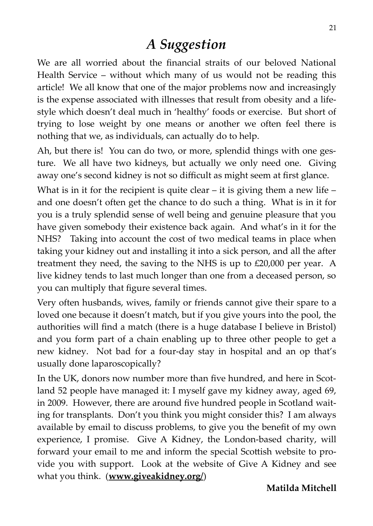# *A Suggestion*

We are all worried about the financial straits of our beloved National Health Service – without which many of us would not be reading this article! We all know that one of the major problems now and increasingly is the expense associated with illnesses that result from obesity and a lifestyle which doesn't deal much in 'healthy' foods or exercise. But short of trying to lose weight by one means or another we often feel there is nothing that we, as individuals, can actually do to help.

Ah, but there is! You can do two, or more, splendid things with one gesture. We all have two kidneys, but actually we only need one. Giving away one's second kidney is not so difficult as might seem at first glance.

What is in it for the recipient is quite clear  $-$  it is giving them a new life  $$ and one doesn't often get the chance to do such a thing. What is in it for you is a truly splendid sense of well being and genuine pleasure that you have given somebody their existence back again. And what's in it for the NHS? Taking into account the cost of two medical teams in place when taking your kidney out and installing it into a sick person, and all the after treatment they need, the saving to the NHS is up to £20,000 per year. A live kidney tends to last much longer than one from a deceased person, so you can multiply that figure several times.

Very often husbands, wives, family or friends cannot give their spare to a loved one because it doesn't match, but if you give yours into the pool, the authorities will find a match (there is a huge database I believe in Bristol) and you form part of a chain enabling up to three other people to get a new kidney. Not bad for a four-day stay in hospital and an op that's usually done laparoscopically?

In the UK, donors now number more than five hundred, and here in Scotland 52 people have managed it: I myself gave my kidney away, aged 69, in 2009. However, there are around five hundred people in Scotland waiting for transplants. Don't you think you might consider this? I am always available by email to discuss problems, to give you the benefit of my own experience, I promise. Give A Kidney, the London-based charity, will forward your email to me and inform the special Scottish website to provide you with support. Look at the website of Give A Kidney and see what you think. (**www.giveakidney.org/**)

**Matilda Mitchell**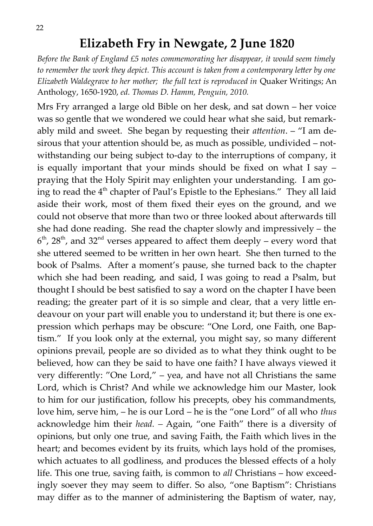### **Elizabeth Fry in Newgate, 2 June 1820**

*Before the Bank of England £5 notes commemorating her disappear, it would seem timely to remember the work they depict. This account is taken from a contemporary letter by one Elizabeth Waldegrave to her mother; the full text is reproduced in* Quaker Writings; An Anthology, 1650-1920, *ed. Thomas D. Hamm, Penguin, 2010.*

Mrs Fry arranged a large old Bible on her desk, and sat down – her voice was so gentle that we wondered we could hear what she said, but remarkably mild and sweet. She began by requesting their *attention*. – "I am desirous that your attention should be, as much as possible, undivided – notwithstanding our being subject to-day to the interruptions of company, it is equally important that your minds should be fixed on what I say – praying that the Holy Spirit may enlighten your understanding. I am going to read the  $4<sup>th</sup>$  chapter of Paul's Epistle to the Ephesians." They all laid aside their work, most of them fixed their eyes on the ground, and we could not observe that more than two or three looked about afterwards till she had done reading. She read the chapter slowly and impressively – the  $6<sup>th</sup>$ , 28<sup>th</sup>, and 32<sup>nd</sup> verses appeared to affect them deeply – every word that she uttered seemed to be written in her own heart. She then turned to the book of Psalms. After a moment's pause, she turned back to the chapter which she had been reading, and said, I was going to read a Psalm, but thought I should be best satisfied to say a word on the chapter I have been reading; the greater part of it is so simple and clear, that a very little endeavour on your part will enable you to understand it; but there is one expression which perhaps may be obscure: "One Lord, one Faith, one Baptism." If you look only at the external, you might say, so many different opinions prevail, people are so divided as to what they think ought to be believed, how can they be said to have one faith? I have always viewed it very differently: "One Lord," – yea, and have not all Christians the same Lord, which is Christ? And while we acknowledge him our Master, look to him for our justification, follow his precepts, obey his commandments, love him, serve him, – he is our Lord – he is the "one Lord" of all who *thus* acknowledge him their *head. –* Again, "one Faith" there is a diversity of opinions, but only one true, and saving Faith, the Faith which lives in the heart; and becomes evident by its fruits, which lays hold of the promises, which actuates to all godliness, and produces the blessed effects of a holy life. This one true, saving faith, is common to *all* Christians – how exceedingly soever they may seem to differ. So also, "one Baptism": Christians may differ as to the manner of administering the Baptism of water, nay,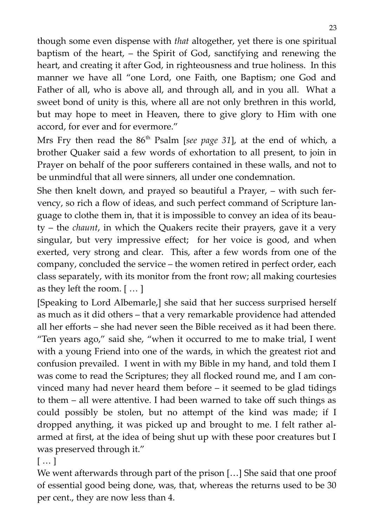though some even dispense with *that* altogether, yet there is one spiritual baptism of the heart, – the Spirit of God, sanctifying and renewing the heart, and creating it after God, in righteousness and true holiness. In this manner we have all "one Lord, one Faith, one Baptism; one God and Father of all, who is above all, and through all, and in you all. What a sweet bond of unity is this, where all are not only brethren in this world, but may hope to meet in Heaven, there to give glory to Him with one accord, for ever and for evermore."

Mrs Fry then read the 86<sup>th</sup> Psalm [*see page 31*], at the end of which, a brother Quaker said a few words of exhortation to all present, to join in Prayer on behalf of the poor sufferers contained in these walls, and not to be unmindful that all were sinners, all under one condemnation.

She then knelt down, and prayed so beautiful a Prayer, – with such fervency, so rich a flow of ideas, and such perfect command of Scripture language to clothe them in, that it is impossible to convey an idea of its beauty – the *chaunt*, in which the Quakers recite their prayers, gave it a very singular, but very impressive effect; for her voice is good, and when exerted, very strong and clear. This, after a few words from one of the company, concluded the service – the women retired in perfect order, each class separately, with its monitor from the front row; all making courtesies as they left the room. [ … ]

[Speaking to Lord Albemarle,] she said that her success surprised herself as much as it did others – that a very remarkable providence had attended all her efforts – she had never seen the Bible received as it had been there. "Ten years ago," said she, "when it occurred to me to make trial, I went with a young Friend into one of the wards, in which the greatest riot and confusion prevailed. I went in with my Bible in my hand, and told them I was come to read the Scriptures; they all flocked round me, and I am convinced many had never heard them before – it seemed to be glad tidings to them – all were attentive. I had been warned to take off such things as could possibly be stolen, but no attempt of the kind was made; if I dropped anything, it was picked up and brought to me. I felt rather alarmed at first, at the idea of being shut up with these poor creatures but I was preserved through it."

[ … ]

We went afterwards through part of the prison [...] She said that one proof of essential good being done, was, that, whereas the returns used to be 30 per cent., they are now less than 4.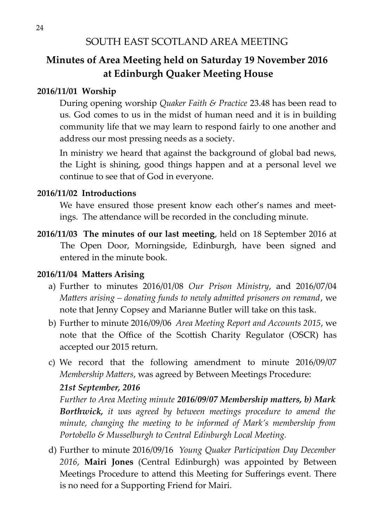### **Minutes of Area Meeting held on Saturday 19 November 2016 at Edinburgh Quaker Meeting House**

### **2016/11/01 Worship**

During opening worship *Quaker Faith & Practice* 23.48 has been read to us. God comes to us in the midst of human need and it is in building community life that we may learn to respond fairly to one another and address our most pressing needs as a society.

In ministry we heard that against the background of global bad news, the Light is shining, good things happen and at a personal level we continue to see that of God in everyone.

### **2016/11/02 Introductions**

We have ensured those present know each other's names and meetings. The attendance will be recorded in the concluding minute.

**2016/11/03 The minutes of our last meeting**, held on 18 September 2016 at The Open Door, Morningside, Edinburgh, have been signed and entered in the minute book.

### **2016/11/04 Matters Arising**

- a) Further to minutes 2016/01/08 *Our Prison Ministry*, and 2016/07/04 *Matters arising – donating funds to newly admitted prisoners on remand*, we note that Jenny Copsey and Marianne Butler will take on this task.
- b) Further to minute 2016/09/06 *Area Meeting Report and Accounts 2015*, we note that the Office of the Scottish Charity Regulator (OSCR) has accepted our 2015 return.
- c) We record that the following amendment to minute 2016/09/07 *Membership Matters*, was agreed by Between Meetings Procedure:

### *21st September, 2016*

*Further to Area Meeting minute 2016/09/07 Membership matters, b) Mark Borthwick, it was agreed by between meetings procedure to amend the minute, changing the meeting to be informed of Mark's membership from Portobello & Musselburgh to Central Edinburgh Local Meeting.*

d) Further to minute 2016/09/16 *Young Quaker Participation Day December 2016*, **Mairi Jones** (Central Edinburgh) was appointed by Between Meetings Procedure to attend this Meeting for Sufferings event. There is no need for a Supporting Friend for Mairi.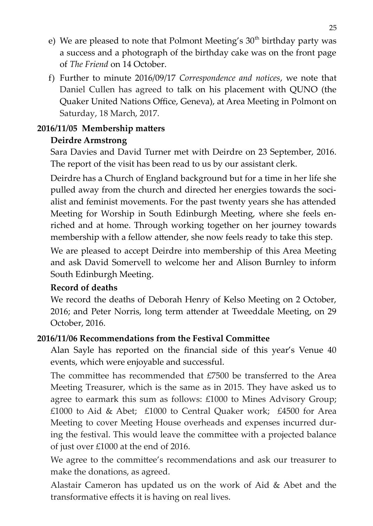- e) We are pleased to note that Polmont Meeting's  $30<sup>th</sup>$  birthday party was a success and a photograph of the birthday cake was on the front page of *The Friend* on 14 October.
- f) Further to minute 2016/09/17 *Correspondence and notices*, we note that Daniel Cullen has agreed to talk on his placement with QUNO (the Quaker United Nations Office, Geneva), at Area Meeting in Polmont on Saturday, 18 March, 2017.

### **2016/11/05 Membership matters**

### **Deirdre Armstrong**

Sara Davies and David Turner met with Deirdre on 23 September, 2016. The report of the visit has been read to us by our assistant clerk.

Deirdre has a Church of England background but for a time in her life she pulled away from the church and directed her energies towards the socialist and feminist movements. For the past twenty years she has attended Meeting for Worship in South Edinburgh Meeting, where she feels enriched and at home. Through working together on her journey towards membership with a fellow attender, she now feels ready to take this step.

We are pleased to accept Deirdre into membership of this Area Meeting and ask David Somervell to welcome her and Alison Burnley to inform South Edinburgh Meeting.

### **Record of deaths**

We record the deaths of Deborah Henry of Kelso Meeting on 2 October, 2016; and Peter Norris, long term attender at Tweeddale Meeting, on 29 October, 2016.

### **2016/11/06 Recommendations from the Festival Committee**

Alan Sayle has reported on the financial side of this year's Venue 40 events, which were enjoyable and successful.

The committee has recommended that £7500 be transferred to the Area Meeting Treasurer, which is the same as in 2015. They have asked us to agree to earmark this sum as follows: £1000 to Mines Advisory Group; £1000 to Aid & Abet; £1000 to Central Quaker work; £4500 for Area Meeting to cover Meeting House overheads and expenses incurred during the festival. This would leave the committee with a projected balance of just over £1000 at the end of 2016.

We agree to the committee's recommendations and ask our treasurer to make the donations, as agreed.

Alastair Cameron has updated us on the work of Aid & Abet and the transformative effects it is having on real lives.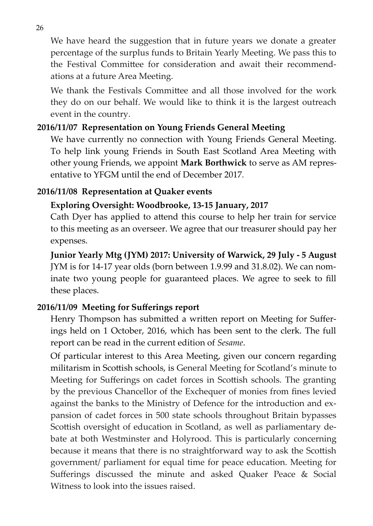We have heard the suggestion that in future years we donate a greater percentage of the surplus funds to Britain Yearly Meeting. We pass this to the Festival Committee for consideration and await their recommendations at a future Area Meeting.

We thank the Festivals Committee and all those involved for the work they do on our behalf. We would like to think it is the largest outreach event in the country.

### **2016/11/07 Representation on Young Friends General Meeting**

We have currently no connection with Young Friends General Meeting. To help link young Friends in South East Scotland Area Meeting with other young Friends, we appoint **Mark Borthwick** to serve as AM representative to YFGM until the end of December 2017*.*

### **2016/11/08 Representation at Quaker events**

### **Exploring Oversight: Woodbrooke, 13-15 January, 2017**

Cath Dyer has applied to attend this course to help her train for service to this meeting as an overseer. We agree that our treasurer should pay her expenses.

**Junior Yearly Mtg (JYM) 2017: University of Warwick, 29 July - 5 August** JYM is for 14-17 year olds (born between 1.9.99 and 31.8.02). We can nominate two young people for guaranteed places. We agree to seek to fill these places.

### **2016/11/09 Meeting for Sufferings report**

Henry Thompson has submitted a written report on Meeting for Sufferings held on 1 October, 2016, which has been sent to the clerk. The full report can be read in the current edition of *Sesame*.

Of particular interest to this Area Meeting, given our concern regarding militarism in Scottish schools, is General Meeting for Scotland's minute to Meeting for Sufferings on cadet forces in Scottish schools. The granting by the previous Chancellor of the Exchequer of monies from fines levied against the banks to the Ministry of Defence for the introduction and expansion of cadet forces in 500 state schools throughout Britain bypasses Scottish oversight of education in Scotland, as well as parliamentary debate at both Westminster and Holyrood. This is particularly concerning because it means that there is no straightforward way to ask the Scottish government/ parliament for equal time for peace education. Meeting for Sufferings discussed the minute and asked Quaker Peace & Social Witness to look into the issues raised.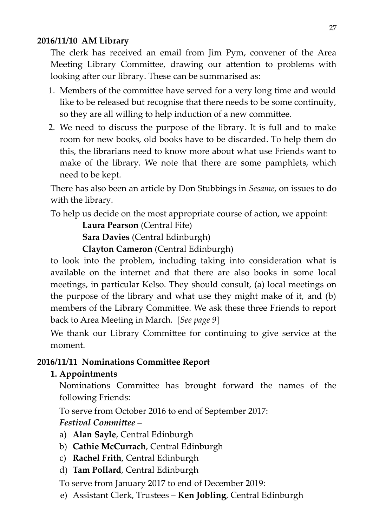### **2016/11/10 AM Library**

The clerk has received an email from Jim Pym, convener of the Area Meeting Library Committee, drawing our attention to problems with looking after our library. These can be summarised as:

- 1. Members of the committee have served for a very long time and would like to be released but recognise that there needs to be some continuity, so they are all willing to help induction of a new committee.
- 2. We need to discuss the purpose of the library. It is full and to make room for new books, old books have to be discarded. To help them do this, the librarians need to know more about what use Friends want to make of the library. We note that there are some pamphlets, which need to be kept.

There has also been an article by Don Stubbings in *Sesame*, on issues to do with the library.

To help us decide on the most appropriate course of action, we appoint:

**Laura Pearson** (Central Fife)

**Sara Davies** (Central Edinburgh)

**Clayton Cameron** (Central Edinburgh)

to look into the problem, including taking into consideration what is available on the internet and that there are also books in some local meetings, in particular Kelso. They should consult, (a) local meetings on the purpose of the library and what use they might make of it, and (b) members of the Library Committee. We ask these three Friends to report back to Area Meeting in March. [*See page 9*]

We thank our Library Committee for continuing to give service at the moment.

### **2016/11/11 Nominations Committee Report**

### **1. Appointments**

Nominations Committee has brought forward the names of the following Friends:

To serve from October 2016 to end of September 2017:

### *Festival Committee* –

- a) **Alan Sayle**, Central Edinburgh
- b) **Cathie McCurrach**, Central Edinburgh
- c) **Rachel Frith**, Central Edinburgh
- d) **Tam Pollard**, Central Edinburgh

To serve from January 2017 to end of December 2019:

e) Assistant Clerk, Trustees – **Ken Jobling**, Central Edinburgh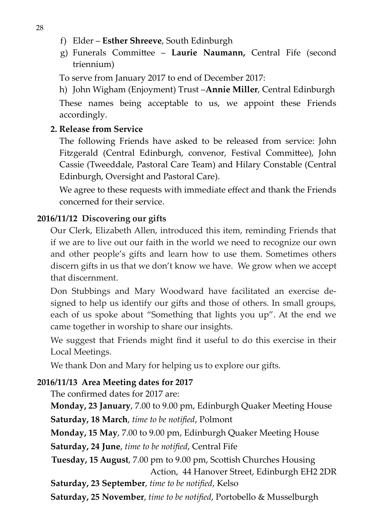- f) Elder **Esther Shreeve**, South Edinburgh
- g) Funerals Committee **Laurie Naumann,** Central Fife (second triennium)

To serve from January 2017 to end of December 2017:

h) John Wigham (Enjoyment) Trust –**Annie Miller**, Central Edinburgh

These names being acceptable to us, we appoint these Friends accordingly.

### **2. Release from Service**

The following Friends have asked to be released from service: John Fitzgerald (Central Edinburgh, convenor, Festival Committee), John Cassie (Tweeddale, Pastoral Care Team) and Hilary Constable (Central Edinburgh, Oversight and Pastoral Care).

We agree to these requests with immediate effect and thank the Friends concerned for their service.

### **2016/11/12 Discovering our gifts**

Our Clerk, Elizabeth Allen, introduced this item, reminding Friends that if we are to live out our faith in the world we need to recognize our own and other people's gifts and learn how to use them. Sometimes others discern gifts in us that we don't know we have. We grow when we accept that discernment.

Don Stubbings and Mary Woodward have facilitated an exercise designed to help us identify our gifts and those of others. In small groups, each of us spoke about "Something that lights you up". At the end we came together in worship to share our insights.

We suggest that Friends might find it useful to do this exercise in their Local Meetings.

We thank Don and Mary for helping us to explore our gifts.

### **2016/11/13 Area Meeting dates for 2017**

The confirmed dates for 2017 are:

**Monday, 23 January**, 7.00 to 9.00 pm, Edinburgh Quaker Meeting House **Saturday, 18 March**, *time to be notified*, Polmont

**Monday, 15 May**, 7.00 to 9.00 pm, Edinburgh Quaker Meeting House

**Saturday, 24 June**, *time to be notified*, Central Fife

**Tuesday, 15 August**, 7.00 pm to 9.00 pm, Scottish Churches Housing Action, 44 Hanover Street, Edinburgh EH2 2DR

**Saturday, 23 September**, *time to be notified*, Kelso

**Saturday, 25 November**, *time to be notified*, Portobello & Musselburgh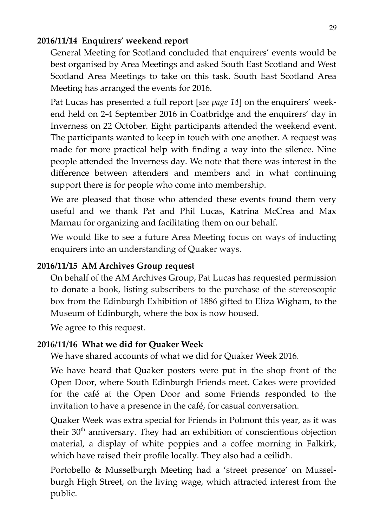### **2016/11/14 Enquirers' weekend report**

General Meeting for Scotland concluded that enquirers' events would be best organised by Area Meetings and asked South East Scotland and West Scotland Area Meetings to take on this task. South East Scotland Area Meeting has arranged the events for 2016.

Pat Lucas has presented a full report [*see page 14*] on the enquirers' weekend held on 2-4 September 2016 in Coatbridge and the enquirers' day in Inverness on 22 October. Eight participants attended the weekend event. The participants wanted to keep in touch with one another. A request was made for more practical help with finding a way into the silence. Nine people attended the Inverness day. We note that there was interest in the difference between attenders and members and in what continuing support there is for people who come into membership.

We are pleased that those who attended these events found them very useful and we thank Pat and Phil Lucas, Katrina McCrea and Max Marnau for organizing and facilitating them on our behalf.

We would like to see a future Area Meeting focus on ways of inducting enquirers into an understanding of Quaker ways.

### **2016/11/15 AM Archives Group request**

On behalf of the AM Archives Group, Pat Lucas has requested permission to donate a book, listing subscribers to the purchase of the stereoscopic box from the Edinburgh Exhibition of 1886 gifted to Eliza Wigham, to the Museum of Edinburgh, where the box is now housed.

We agree to this request.

### **2016/11/16 What we did for Quaker Week**

We have shared accounts of what we did for Quaker Week 2016.

We have heard that Quaker posters were put in the shop front of the Open Door, where South Edinburgh Friends meet. Cakes were provided for the café at the Open Door and some Friends responded to the invitation to have a presence in the café, for casual conversation.

Quaker Week was extra special for Friends in Polmont this year, as it was their 30<sup>th</sup> anniversary. They had an exhibition of conscientious objection material, a display of white poppies and a coffee morning in Falkirk, which have raised their profile locally. They also had a ceilidh.

Portobello & Musselburgh Meeting had a 'street presence' on Musselburgh High Street, on the living wage, which attracted interest from the public.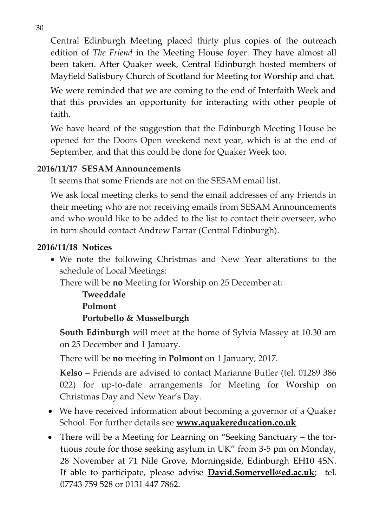Central Edinburgh Meeting placed thirty plus copies of the outreach edition of *The Friend* in the Meeting House foyer. They have almost all been taken. After Quaker week, Central Edinburgh hosted members of Mayfield Salisbury Church of Scotland for Meeting for Worship and chat.

We were reminded that we are coming to the end of Interfaith Week and that this provides an opportunity for interacting with other people of faith.

We have heard of the suggestion that the Edinburgh Meeting House be opened for the Doors Open weekend next year, which is at the end of September, and that this could be done for Quaker Week too.

### **2016/11/17 SESAM Announcements**

It seems that some Friends are not on the SESAM email list.

We ask local meeting clerks to send the email addresses of any Friends in their meeting who are not receiving emails from SESAM Announcements and who would like to be added to the list to contact their overseer, who in turn should contact Andrew Farrar (Central Edinburgh).

### **2016/11/18 Notices**

 We note the following Christmas and New Year alterations to the schedule of Local Meetings:

There will be **no** Meeting for Worship on 25 December at:

**Tweeddale Polmont Portobello & Musselburgh**

**South Edinburgh** will meet at the home of Sylvia Massey at 10.30 am on 25 December and 1 January.

There will be **no** meeting in **Polmont** on 1 January, 2017.

**Kelso** – Friends are advised to contact Marianne Butler (tel. 01289 386 022) for up-to-date arrangements for Meeting for Worship on Christmas Day and New Year's Day.

- We have received information about becoming a governor of a Quaker School. For further details see **[www.aquakereducation.co.uk](http://www.aquakereducation.co.uk/)**
- There will be a Meeting for Learning on "Seeking Sanctuary the tortuous route for those seeking asylum in UK" from 3-5 pm on Monday, 28 November at 71 Nile Grove, Morningside, Edinburgh EH10 4SN. If able to participate, please advise **[David.Somervell@ed.ac.uk](mailto:David.Somervell@ed.ac.uk)**; tel. 07743 759 528 or 0131 447 7862.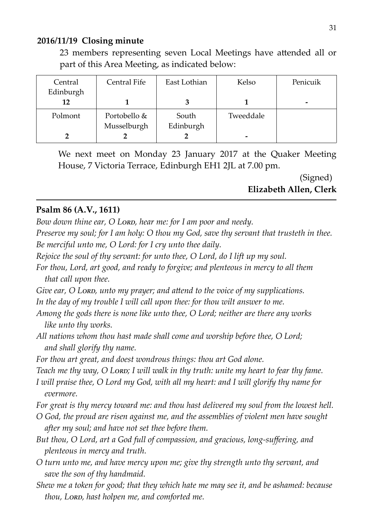### **2016/11/19 Closing minute**

23 members representing seven Local Meetings have attended all or part of this Area Meeting, as indicated below:

| Central   | Central Fife | East Lothian | Kelso     | Penicuik |
|-----------|--------------|--------------|-----------|----------|
| Edinburgh |              |              |           |          |
| 12        |              |              |           |          |
| Polmont   | Portobello & | South        | Tweeddale |          |
|           | Musselburgh  | Edinburgh    |           |          |
|           |              |              | -         |          |

We next meet on Monday 23 January 2017 at the Quaker Meeting House, 7 Victoria Terrace, Edinburgh EH1 2JL at 7.00 pm.

> (Signed) **Elizabeth Allen, Clerk**

#### **Psalm 86 (A.V., 1611)**

*Bow down thine ear, O LORD, hear me: for I am poor and needy.* 

*Preserve my soul; for I am holy: O thou my God, save thy servant that trusteth in thee. Be merciful unto me, O Lord: for I cry unto thee daily.*

*Rejoice the soul of thy servant: for unto thee, O Lord, do I lift up my soul.*

*For thou, Lord, art good, and ready to forgive; and plenteous in mercy to all them that call upon thee.*

*Give ear, O LORD, unto my prayer; and attend to the voice of my supplications. In the day of my trouble I will call upon thee: for thou wilt answer to me.*

*Among the gods there is none like unto thee, O Lord; neither are there any works like unto thy works.*

*All nations whom thou hast made shall come and worship before thee, O Lord; and shall glorify thy name.*

*For thou art great, and doest wondrous things: thou art God alone.*

*Teach me thy way, O LORD; I will walk in thy truth: unite my heart to fear thy fame.*

*I will praise thee, O Lord my God, with all my heart: and I will glorify thy name for evermore.*

*For great is thy mercy toward me: and thou hast delivered my soul from the lowest hell.*

*O God, the proud are risen against me, and the assemblies of violent men have sought after my soul; and have not set thee before them.* 

- *But thou, O Lord, art a God full of compassion, and gracious, long-suffering, and plenteous in mercy and truth.*
- *O turn unto me, and have mercy upon me; give thy strength unto thy servant, and save the son of thy handmaid.*
- *Shew me a token for good; that they which hate me may see it, and be ashamed: because thou, LORD, hast holpen me, and comforted me.*